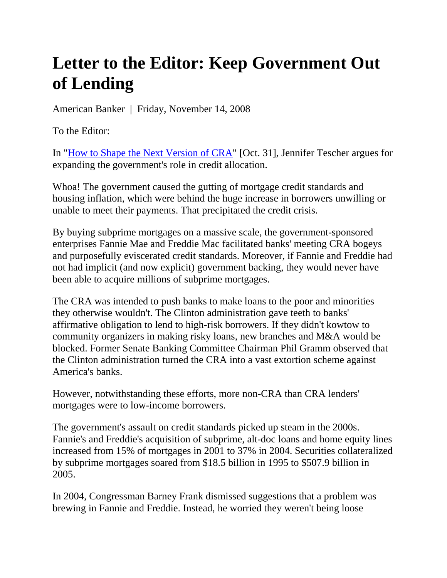## **Letter to the Editor: Keep Government Out of Lending**

American Banker | Friday, November 14, 2008

To the Editor:

In "How to Shape the Next Version of CRA" [Oct. 31], Jennifer Tescher argues for expanding the government's role in credit allocation.

Whoa! The government caused the gutting of mortgage credit standards and housing inflation, which were behind the huge increase in borrowers unwilling or unable to meet their payments. That precipitated the credit crisis.

By buying subprime mortgages on a massive scale, the government-sponsored enterprises Fannie Mae and Freddie Mac facilitated banks' meeting CRA bogeys and purposefully eviscerated credit standards. Moreover, if Fannie and Freddie had not had implicit (and now explicit) government backing, they would never have been able to acquire millions of subprime mortgages.

The CRA was intended to push banks to make loans to the poor and minorities they otherwise wouldn't. The Clinton administration gave teeth to banks' affirmative obligation to lend to high-risk borrowers. If they didn't kowtow to community organizers in making risky loans, new branches and M&A would be blocked. Former Senate Banking Committee Chairman Phil Gramm observed that the Clinton administration turned the CRA into a vast extortion scheme against America's banks.

However, notwithstanding these efforts, more non-CRA than CRA lenders' mortgages were to low-income borrowers.

The government's assault on credit standards picked up steam in the 2000s. Fannie's and Freddie's acquisition of subprime, alt-doc loans and home equity lines increased from 15% of mortgages in 2001 to 37% in 2004. Securities collateralized by subprime mortgages soared from \$18.5 billion in 1995 to \$507.9 billion in 2005.

In 2004, Congressman Barney Frank dismissed suggestions that a problem was brewing in Fannie and Freddie. Instead, he worried they weren't being loose